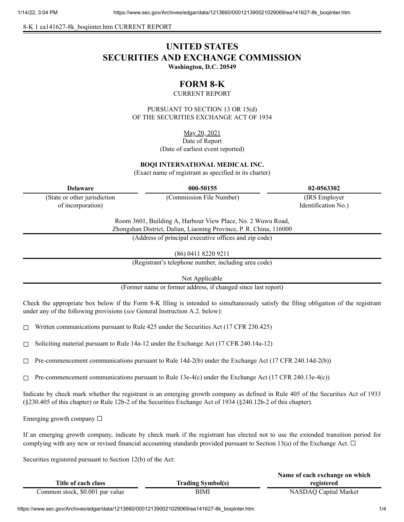8-K 1 ea141627-8k\_boqiinter.htm CURRENT REPORT

# **UNITED STATES SECURITIES AND EXCHANGE COMMISSION Washington, D.C. 20549**

# **FORM 8-K**

CURRENT REPORT

PURSUANT TO SECTION 13 OR 15(d) OF THE SECURITIES EXCHANGE ACT OF 1934

May 20, 2021

Date of Report (Date of earliest event reported)

#### **BOQI INTERNATIONAL MEDICAL INC.**

(Exact name of registrant as specified in its charter)

(State or other jurisdiction of incorporation)

**Delaware 000-50155 02-0563302**

(Commission File Number) (IRS Employer Identification No.)

Room 3601, Building A, Harbour View Place, No. 2 Wuwu Road, Zhongshan District, Dalian, Liaoning Province, P. R. China, 116000

(Address of principal executive offices and zip code)

(86) 0411 8220 9211

(Registrant's telephone number, including area code)

Not Applicable

(Former name or former address, if changed since last report)

Check the appropriate box below if the Form 8-K filing is intended to simultaneously satisfy the filing obligation of the registrant under any of the following provisions (*see* General Instruction A.2. below):

 $\Box$  Written communications pursuant to Rule 425 under the Securities Act (17 CFR 230.425)

☐ Soliciting material pursuant to Rule 14a-12 under the Exchange Act (17 CFR 240.14a-12)

 $\Box$  Pre-commencement communications pursuant to Rule 14d-2(b) under the Exchange Act (17 CFR 240.14d-2(b))

 $\Box$  Pre-commencement communications pursuant to Rule 13e-4(c) under the Exchange Act (17 CFR 240.13e-4(c))

Indicate by check mark whether the registrant is an emerging growth company as defined in Rule 405 of the Securities Act of 1933 (§230.405 of this chapter) or Rule 12b-2 of the Securities Exchange Act of 1934 (§240.12b-2 of this chapter).

Emerging growth company  $\Box$ 

If an emerging growth company, indicate by check mark if the registrant has elected not to use the extended transition period for complying with any new or revised financial accounting standards provided pursuant to Section 13(a) of the Exchange Act.  $\Box$ 

Securities registered pursuant to Section 12(b) of the Act:

|                                 |                          | Name of each exchange on which |
|---------------------------------|--------------------------|--------------------------------|
| Title of each class             | <b>Trading Symbol(s)</b> | registered                     |
| Common stock, \$0.001 par value | BIMI                     | NASDAQ Capital Market          |

https://www.sec.gov/Archives/edgar/data/1213660/000121390021029069/ea141627-8k\_boqiinter.htm 1/4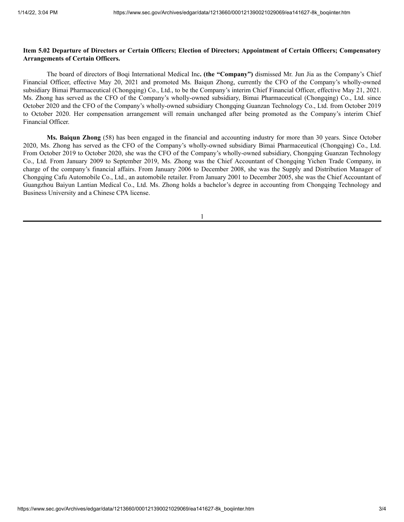### Item 5.02 Departure of Directors or Certain Officers; Election of Directors; Appointment of Certain Officers; Compensatory **Arrangements of Certain Officers.**

The board of directors of Boqi International Medical Inc**. (the "Company")** dismissed Mr. Jun Jia as the Company's Chief Financial Officer, effective May 20, 2021 and promoted Ms. Baiqun Zhong, currently the CFO of the Company's wholly-owned subsidiary Bimai Pharmaceutical (Chongqing) Co., Ltd., to be the Company's interim Chief Financial Officer, effective May 21, 2021. Ms. Zhong has served as the CFO of the Company's wholly-owned subsidiary, Bimai Pharmaceutical (Chongqing) Co., Ltd. since October 2020 and the CFO of the Company's wholly-owned subsidiary Chongqing Guanzan Technology Co., Ltd. from October 2019 to October 2020. Her compensation arrangement will remain unchanged after being promoted as the Company's interim Chief Financial Officer.

**Ms. Baiqun Zhong** (58) has been engaged in the financial and accounting industry for more than 30 years. Since October 2020, Ms. Zhong has served as the CFO of the Company's wholly-owned subsidiary Bimai Pharmaceutical (Chongqing) Co., Ltd. From October 2019 to October 2020, she was the CFO of the Company's wholly-owned subsidiary, Chongqing Guanzan Technology Co., Ltd. From January 2009 to September 2019, Ms. Zhong was the Chief Accountant of Chongqing Yichen Trade Company, in charge of the company's financial affairs. From January 2006 to December 2008, she was the Supply and Distribution Manager of Chongqing Cafu Automobile Co., Ltd., an automobile retailer. From January 2001 to December 2005, she was the Chief Accountant of Guangzhou Baiyun Lantian Medical Co., Ltd. Ms. Zhong holds a bachelor's degree in accounting from Chongqing Technology and Business University and a Chinese CPA license.

1